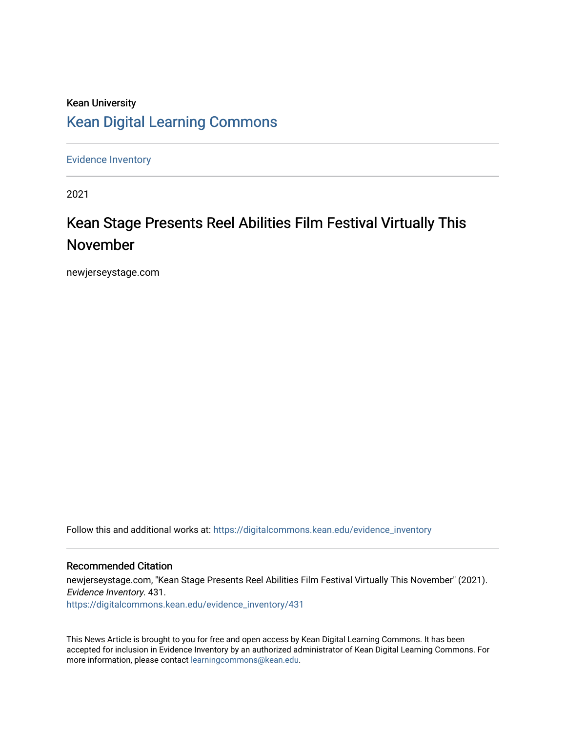# Kean University [Kean Digital Learning Commons](https://digitalcommons.kean.edu/)

[Evidence Inventory](https://digitalcommons.kean.edu/evidence_inventory) 

2021

# Kean Stage Presents Reel Abilities Film Festival Virtually This November

newjerseystage.com

Follow this and additional works at: [https://digitalcommons.kean.edu/evidence\\_inventory](https://digitalcommons.kean.edu/evidence_inventory?utm_source=digitalcommons.kean.edu%2Fevidence_inventory%2F431&utm_medium=PDF&utm_campaign=PDFCoverPages)

#### Recommended Citation

newjerseystage.com, "Kean Stage Presents Reel Abilities Film Festival Virtually This November" (2021). Evidence Inventory. 431. [https://digitalcommons.kean.edu/evidence\\_inventory/431](https://digitalcommons.kean.edu/evidence_inventory/431?utm_source=digitalcommons.kean.edu%2Fevidence_inventory%2F431&utm_medium=PDF&utm_campaign=PDFCoverPages)

This News Article is brought to you for free and open access by Kean Digital Learning Commons. It has been accepted for inclusion in Evidence Inventory by an authorized administrator of Kean Digital Learning Commons. For more information, please contact [learningcommons@kean.edu](mailto:learningcommons@kean.edu).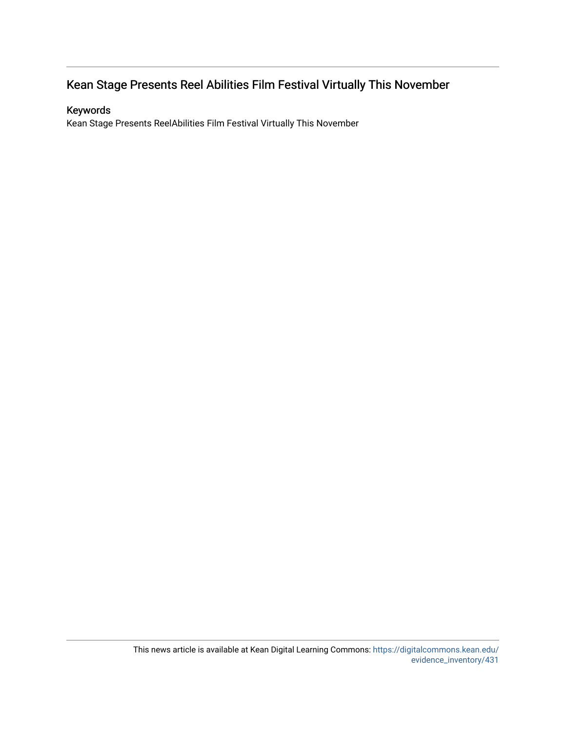#### Kean Stage Presents Reel Abilities Film Festival Virtually This November

#### Keywords

Kean Stage Presents ReelAbilities Film Festival Virtually This November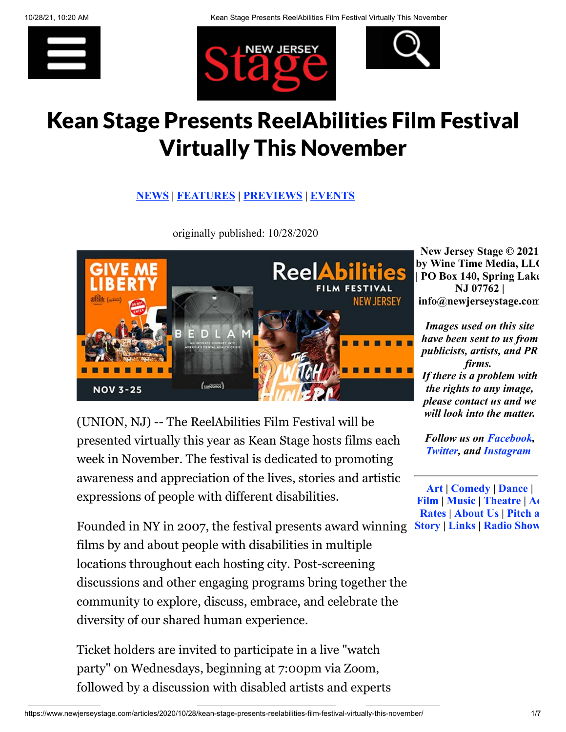





# Kean Stage Presents ReelAbilities Film Festival Virtually This November

#### **[NEWS](https://www.newjerseystage.com/articles/viewnews.php) | [FEATURES](https://www.newjerseystage.com/articles/viewfeatures.php) | [PREVIEWS](https://www.newjerseystage.com/articles/viewpreviews.php) | [EVENTS](https://www.newjerseystage.com/articles/viewevents.php)**

originally published: 10/28/2020



(UNION, NJ) -- The ReelAbilities Film Festival will be presented virtually this year as Kean Stage hosts films each week in November. The festival is dedicated to promoting awareness and appreciation of the lives, stories and artistic expressions of people with different disabilities.

Founded in NY in 2007, the festival presents award winning **[Story | Links | Radio Show](https://www.newjerseystage.com/pitch/thepitch.php/)**films by and about people with disabilities in multiple locations throughout each hosting city. Post-screening discussions and other engaging programs bring together the community to explore, discuss, embrace, and celebrate the diversity of our shared human experience.

Ticket holders are invited to participate in a live "watch party" on Wednesdays, beginning at 7:00pm via Zoom, followed by a discussion with disabled artists and experts

**New Jersey Stage © 2021 by Wine Time Media, LLC | PO Box 140, Spring Lake NJ 07762 | info@newjerseystage.com**

*Images used on this site have been sent to us from publicists, artists, and PR firms. If there is a problem with the rights to any image, please contact us and we will look into the matter.*

*Follow us on [Facebook,](http://www.facebook.com/newjerseystage) [Twitter](https://www.twitter.com/newjerseystage), and [Instagram](http://www.instagram.com/newjerseystage)*

**[Art](https://www.newjerseystage.com/sections/art.php) | [Comedy](https://www.newjerseystage.com/sections/comedy.php) | [Dance](https://www.newjerseystage.com/sections/dance.php) | [F](https://www.newjerseystage.com/sections/film.php)[ilm | Music | Theatre | Ad](https://www.newjerseystage.com/advertise) Rates | [About Us](https://www.newjerseystage.com/sections/aboutus.php) | Pitch a**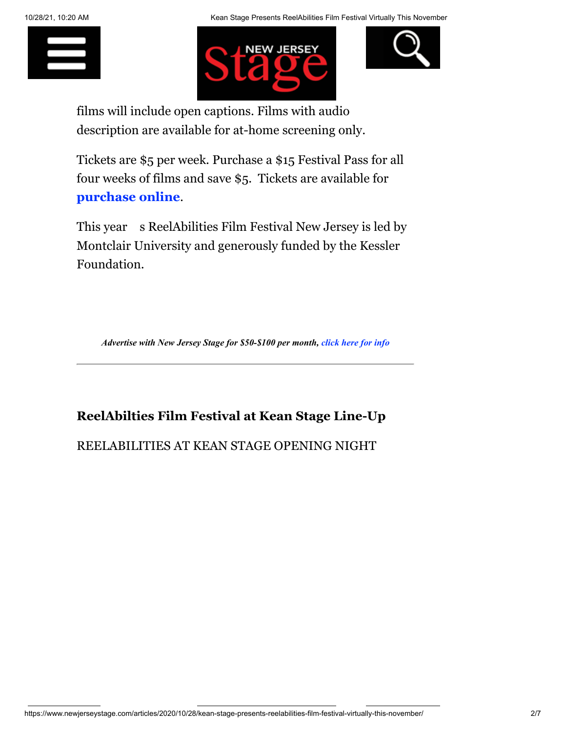





films will include open captions. Films with audio description are available for at-home screening only.

Tickets are \$5 per week. Purchase a \$15 Festival Pass for all four weeks of films and save \$5. Tickets are available for **[purchase online](http://www.keanstage.com/reelabilities)**.

This year s ReelAbilities Film Festival New Jersey is led by Montclair University and generously funded by the Kessler Foundation.

*Advertise with New Jersey Stage for \$50-\$100 per month, [click](https://www.newjerseystage.com/advertise) here for info*

### **ReelAbilties Film Festival at Kean Stage Line-Up**

#### REELABILITIES AT KEAN STAGE OPENING NIGHT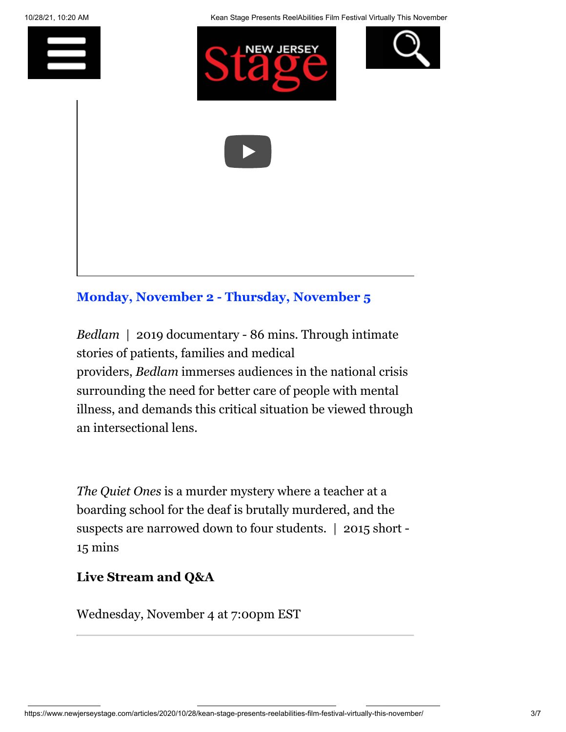







# **[Monday, November 2 - Thursday, November 5](https://red.vendini.com/ticket-software.html?e=c2fc4aaa0b524c0afc927ceaa242bf84&t=tix)**

*Bedlam* | 2019 documentary - 86 mins. Through intimate stories of patients, families and medical providers, *Bedlam* immerses audiences in the national crisis surrounding the need for better care of people with mental illness, and demands this critical situation be viewed through an intersectional lens.

*The Quiet Ones* is a murder mystery where a teacher at a boarding school for the deaf is brutally murdered, and the suspects are narrowed down to four students. | 2015 short - 15 mins

#### **Live Stream and Q&A**

Wednesday, November 4 at 7:00pm EST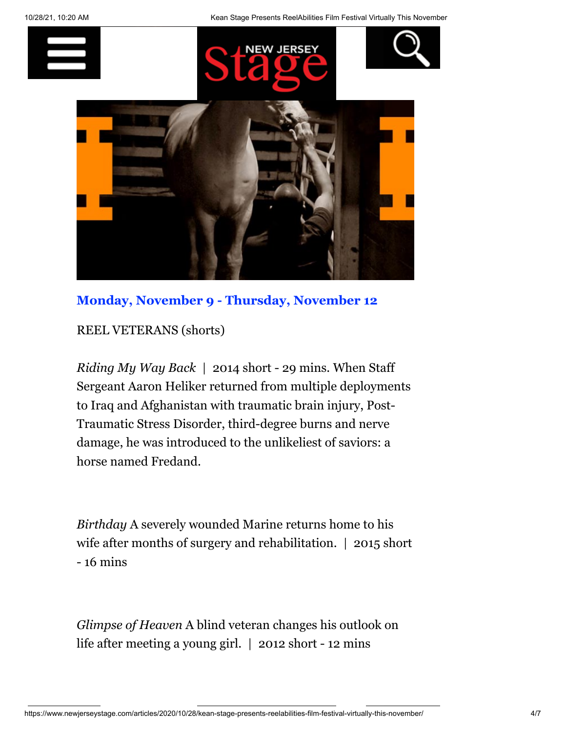

### **[Monday, November 9 - Thursday, November 12](https://red.vendini.com/ticket-software.html?e=ed10d40618e58f374564142e9a50a448&t=tix)**

REEL VETERANS (shorts)

*Riding My Way Back* | 2014 short - 29 mins. When Staff Sergeant Aaron Heliker returned from multiple deployments to Iraq and Afghanistan with traumatic brain injury, Post-Traumatic Stress Disorder, third-degree burns and nerve damage, he was introduced to the unlikeliest of saviors: a horse named Fredand.

*Birthday* A severely wounded Marine returns home to his wife after months of surgery and rehabilitation. | 2015 short - 16 mins

*Glimpse of Heaven* A blind veteran changes his outlook on life after meeting a young girl. | 2012 short - 12 mins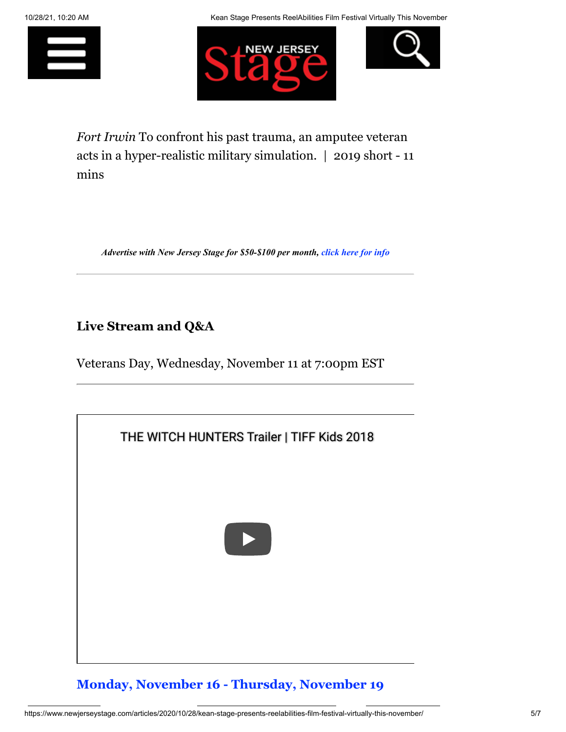





*Fort Irwin* To confront his past trauma, an amputee veteran acts in a hyper-realistic military simulation. | 2019 short - 11 mins

*Advertise with New Jersey Stage for \$50-\$100 per month, [click](https://www.newjerseystage.com/advertise) here for info*

### **Live Stream and Q&A**

Veterans Day, Wednesday, November 11 at 7:00pm EST



# **[Monday, November 16 - Thursday, November 19](https://red.vendini.com/ticket-software.html?e=94476e397dc22357f729300d92afa7ce&t=tix)**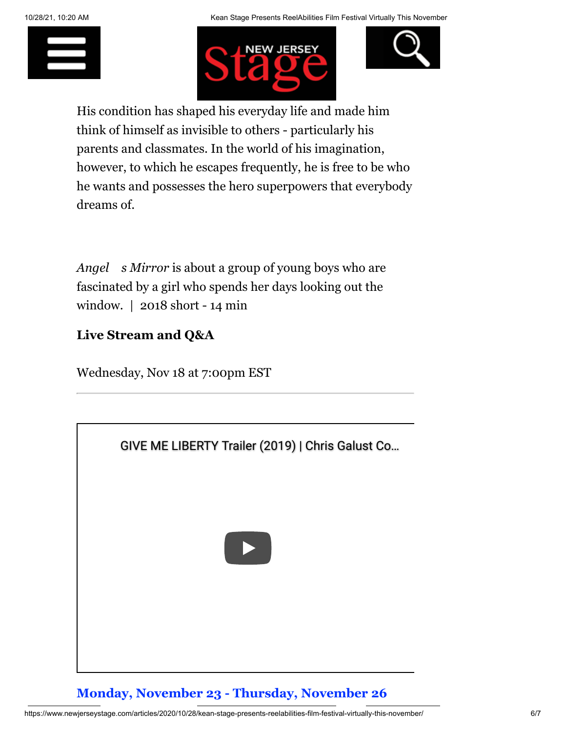





His condition has shaped his everyday life and made him think of himself as invisible to others - particularly his parents and classmates. In the world of his imagination, however, to which he escapes frequently, he is free to be who he wants and possesses the hero superpowers that everybody dreams of.

*Angel s Mirror* is about a group of young boys who are fascinated by a girl who spends her days looking out the window. | 2018 short - 14 min

# **Live Stream and Q&A**

Wednesday, Nov 18 at 7:00pm EST



**[Monday, November 23 - Thursday, November 26](https://red.vendini.com/ticket-software.html?e=898c6d29b6bd40837c6a4da21ae339ec&t=tix)**